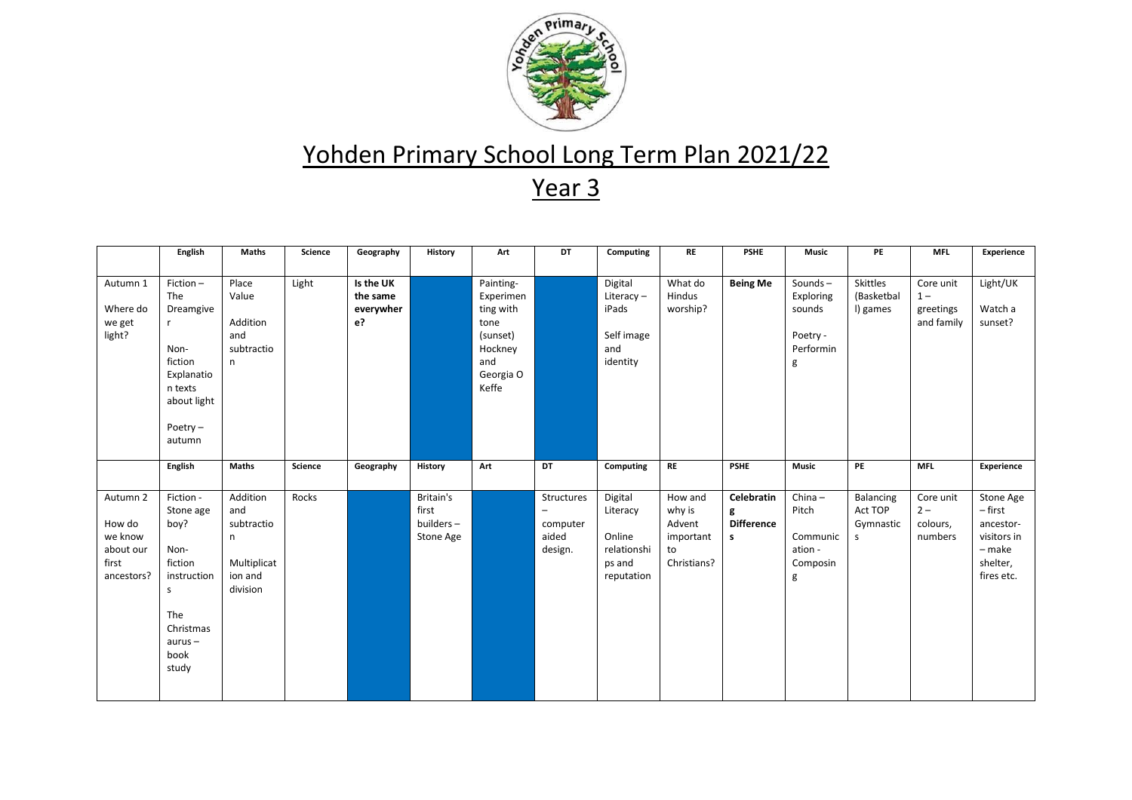

## Yohden Primary School Long Term Plan 2021/22

Year 3

|                                                                   | English                                                                                                                 | Maths                                                                    | Science | Geography                                | History                                      | Art                                                                                             | DT                                         | Computing                                                            | <b>RE</b>                                                     | <b>PSHE</b>                               | <b>Music</b>                                                 | PE                                     | <b>MFL</b>                                    | Experience                                                                           |
|-------------------------------------------------------------------|-------------------------------------------------------------------------------------------------------------------------|--------------------------------------------------------------------------|---------|------------------------------------------|----------------------------------------------|-------------------------------------------------------------------------------------------------|--------------------------------------------|----------------------------------------------------------------------|---------------------------------------------------------------|-------------------------------------------|--------------------------------------------------------------|----------------------------------------|-----------------------------------------------|--------------------------------------------------------------------------------------|
|                                                                   |                                                                                                                         |                                                                          |         |                                          |                                              |                                                                                                 |                                            |                                                                      |                                                               |                                           |                                                              |                                        |                                               |                                                                                      |
| Autumn 1<br>Where do<br>we get<br>light?                          | Fiction-<br>The<br>Dreamgive<br>Non-<br>fiction<br>Explanatio<br>n texts<br>about light<br>Poetry $-$<br>autumn         | Place<br>Value<br>Addition<br>and<br>subtractio<br>n.                    | Light   | Is the UK<br>the same<br>everywher<br>e? |                                              | Painting-<br>Experimen<br>ting with<br>tone<br>(sunset)<br>Hockney<br>and<br>Georgia O<br>Keffe |                                            | Digital<br>Literacy-<br>iPads<br>Self image<br>and<br>identity       | What do<br>Hindus<br>worship?                                 | <b>Being Me</b>                           | Sounds-<br>Exploring<br>sounds<br>Poetry -<br>Performin<br>g | Skittles<br>(Basketbal<br>I) games     | Core unit<br>$1 -$<br>greetings<br>and family | Light/UK<br>Watch a<br>sunset?                                                       |
|                                                                   | English                                                                                                                 | Maths                                                                    | Science | Geography                                | <b>History</b>                               | Art                                                                                             | DT                                         | Computing                                                            | <b>RE</b>                                                     | <b>PSHE</b>                               | <b>Music</b>                                                 | PE                                     | <b>MFL</b>                                    | Experience                                                                           |
| Autumn 2<br>How do<br>we know<br>about our<br>first<br>ancestors? | Fiction -<br>Stone age<br>boy?<br>Non-<br>fiction<br>instruction<br>s<br>The<br>Christmas<br>$aurus -$<br>book<br>study | Addition<br>and<br>subtractio<br>n<br>Multiplicat<br>ion and<br>division | Rocks   |                                          | Britain's<br>first<br>builders-<br>Stone Age |                                                                                                 | Structures<br>computer<br>aided<br>design. | Digital<br>Literacy<br>Online<br>relationshi<br>ps and<br>reputation | How and<br>why is<br>Advent<br>important<br>to<br>Christians? | Celebratin<br>g<br><b>Difference</b><br>s | $China -$<br>Pitch<br>Communic<br>ation -<br>Composin<br>g   | Balancing<br>Act TOP<br>Gymnastic<br>s | Core unit<br>$2 -$<br>colours,<br>numbers     | Stone Age<br>– first<br>ancestor-<br>visitors in<br>- make<br>shelter,<br>fires etc. |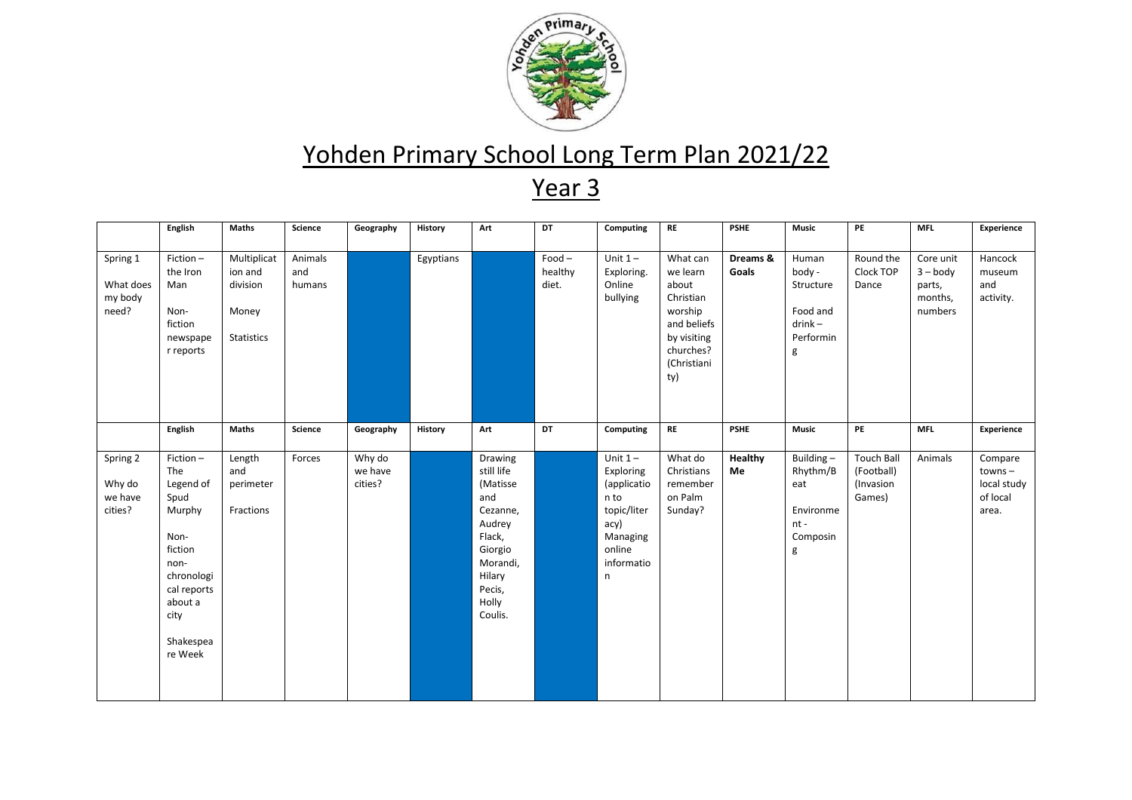

## Yohden Primary School Long Term Plan 2021/22

Year 3

|                                           | English                                                                                                                                           | Maths                                                            | Science                  | Geography                    | <b>History</b> | Art                                                                                                                                     | DT                           | Computing                                                                                                     | $\mathsf{RE}$                                                                                                          | <b>PSHE</b>       | <b>Music</b>                                                            | PE                                                     | <b>MFL</b>                                              | Experience                                               |
|-------------------------------------------|---------------------------------------------------------------------------------------------------------------------------------------------------|------------------------------------------------------------------|--------------------------|------------------------------|----------------|-----------------------------------------------------------------------------------------------------------------------------------------|------------------------------|---------------------------------------------------------------------------------------------------------------|------------------------------------------------------------------------------------------------------------------------|-------------------|-------------------------------------------------------------------------|--------------------------------------------------------|---------------------------------------------------------|----------------------------------------------------------|
|                                           |                                                                                                                                                   |                                                                  |                          |                              |                |                                                                                                                                         |                              |                                                                                                               |                                                                                                                        |                   |                                                                         |                                                        |                                                         |                                                          |
| Spring 1<br>What does<br>my body<br>need? | $Fiction -$<br>the Iron<br>Man<br>Non-<br>fiction<br>newspape<br>r reports                                                                        | Multiplicat<br>ion and<br>division<br>Money<br><b>Statistics</b> | Animals<br>and<br>humans |                              | Egyptians      |                                                                                                                                         | $Food -$<br>healthy<br>diet. | Unit $1-$<br>Exploring.<br>Online<br>bullying                                                                 | What can<br>we learn<br>about<br>Christian<br>worship<br>and beliefs<br>by visiting<br>churches?<br>(Christiani<br>ty) | Dreams &<br>Goals | Human<br>body -<br>Structure<br>Food and<br>$drink -$<br>Performin<br>g | Round the<br>Clock TOP<br>Dance                        | Core unit<br>$3 - body$<br>parts,<br>months,<br>numbers | Hancock<br>museum<br>and<br>activity.                    |
|                                           | English                                                                                                                                           | <b>Maths</b>                                                     | Science                  | Geography                    | History        | Art                                                                                                                                     | DT                           | Computing                                                                                                     | <b>RE</b>                                                                                                              | <b>PSHE</b>       | <b>Music</b>                                                            | PE                                                     | <b>MFL</b>                                              | Experience                                               |
| Spring 2<br>Why do<br>we have<br>cities?  | Fiction-<br>The<br>Legend of<br>Spud<br>Murphy<br>Non-<br>fiction<br>non-<br>chronologi<br>cal reports<br>about a<br>city<br>Shakespea<br>re Week | Length<br>and<br>perimeter<br>Fractions                          | Forces                   | Why do<br>we have<br>cities? |                | Drawing<br>still life<br>(Matisse<br>and<br>Cezanne,<br>Audrey<br>Flack,<br>Giorgio<br>Morandi,<br>Hilary<br>Pecis,<br>Holly<br>Coulis. |                              | Unit $1-$<br>Exploring<br>(applicatio<br>n to<br>topic/liter<br>acy)<br>Managing<br>online<br>informatio<br>n | What do<br>Christians<br>remember<br>on Palm<br>Sunday?                                                                | Healthy<br>Me     | Building-<br>Rhythm/B<br>eat<br>Environme<br>$nt -$<br>Composin<br>g    | <b>Touch Ball</b><br>(Football)<br>(Invasion<br>Games) | Animals                                                 | Compare<br>$towns -$<br>local study<br>of local<br>area. |